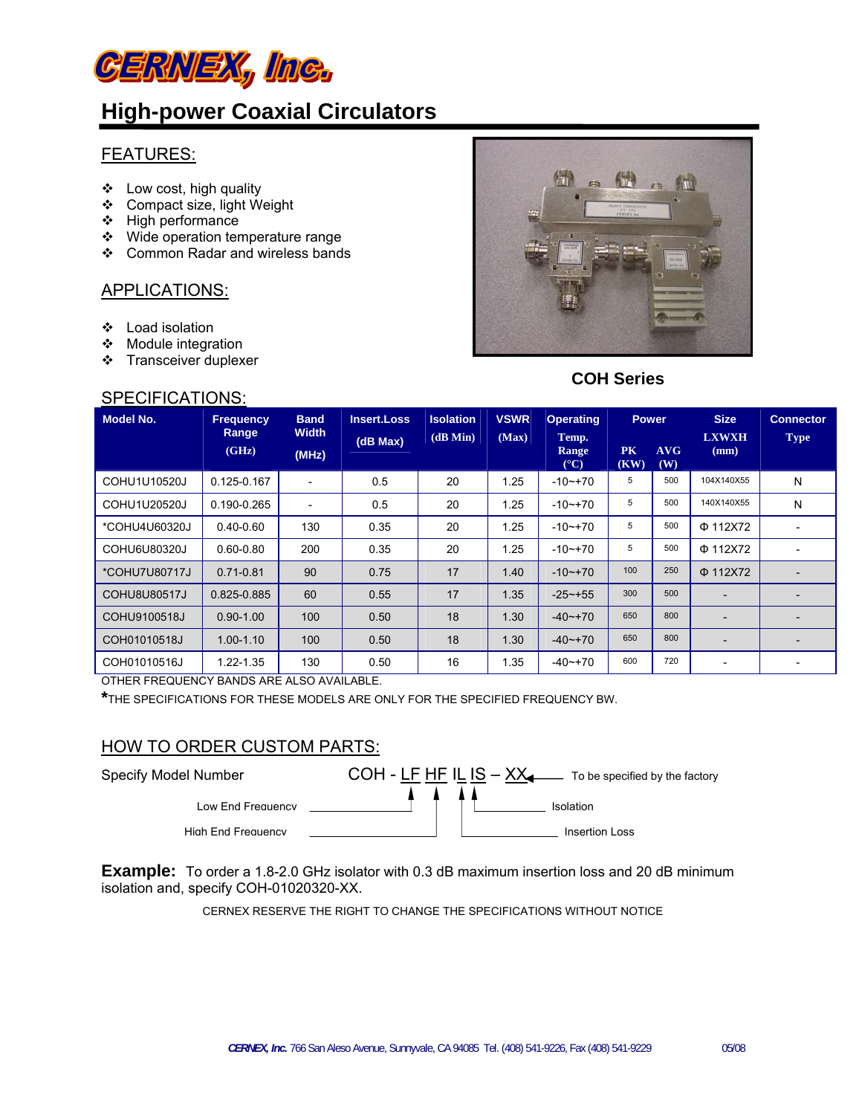

# **High-power Coaxial Circulators**

#### FEATURES:

- $\div$  Low cost, high quality
- Compact size, light Weight
- $\div$  High performance
- Wide operation temperature range
- Common Radar and wireless bands

## APPLICATIONS:

- Load isolation
- ❖ Module integration
- Transceiver duplexer

## SPECIFICATIONS:



# **COH Series**

| <b>Model No.</b> | <b>Frequency</b><br>Range | <b>Band</b><br><b>Width</b> | Insert.Loss | <b>Isolation</b> | <b>VSWR</b> | <b>Operating</b>                | <b>Power</b>      |            | <b>Size</b>              | <b>Connector</b> |
|------------------|---------------------------|-----------------------------|-------------|------------------|-------------|---------------------------------|-------------------|------------|--------------------------|------------------|
|                  | (GHz)                     | (MHz)                       | (dB Max)    | (dB Min)         | (Max)       | Temp.<br>Range<br>$(^{\circ}C)$ | <b>PK</b><br>(KW) | AVG<br>(W) | <b>LXWXH</b><br>(mm)     | <b>Type</b>      |
| COHU1U10520J     | $0.125 - 0.167$           | $\overline{\phantom{a}}$    | 0.5         | 20               | 1.25        | $-10$ $-170$                    | 5                 | 500        | 104X140X55               | N                |
| COHU1U20520J     | 0.190-0.265               |                             | 0.5         | 20               | 1.25        | $-10$ $-170$                    | 5                 | 500        | 140X140X55               | N                |
| *COHU4U60320J    | $0.40 - 0.60$             | 130                         | 0.35        | 20               | 1.25        | $-10$ $-170$                    | 5                 | 500        | $\Phi$ 112X72            |                  |
| COHU6U80320J     | $0.60 - 0.80$             | 200                         | 0.35        | 20               | 1.25        | $-10$ $-170$                    | 5                 | 500        | $Φ$ 112X72               |                  |
| *COHU7U80717J    | $0.71 - 0.81$             | 90                          | 0.75        | 17               | 1.40        | $-10$ $-170$                    | 100               | 250        | $\Phi$ 112X72            |                  |
| COHU8U80517J     | 0.825-0.885               | 60                          | 0.55        | 17               | 1.35        | $-25 - +55$                     | 300               | 500        | $\overline{\phantom{0}}$ |                  |
| COHU9100518J     | $0.90 - 1.00$             | 100                         | 0.50        | 18               | 1.30        | $-40$ $-170$                    | 650               | 800        |                          |                  |
| COH01010518J     | $1.00 - 1.10$             | 100                         | 0.50        | 18               | 1.30        | $-40$ $-170$                    | 650               | 800        |                          |                  |
| COH01010516J     | 1.22-1.35                 | 130                         | 0.50        | 16               | 1.35        | $-40$ $-170$                    | 600               | 720        | $\overline{\phantom{a}}$ |                  |

OTHER FREQUENCY BANDS ARE ALSO AVAILABLE.

**\***THE SPECIFICATIONS FOR THESE MODELS ARE ONLY FOR THE SPECIFIED FREQUENCY BW.

#### HOW TO ORDER CUSTOM PARTS:



**Example:** To order a 1.8-2.0 GHz isolator with 0.3 dB maximum insertion loss and 20 dB minimum isolation and, specify COH-01020320-XX.

CERNEX RESERVE THE RIGHT TO CHANGE THE SPECIFICATIONS WITHOUT NOTICE